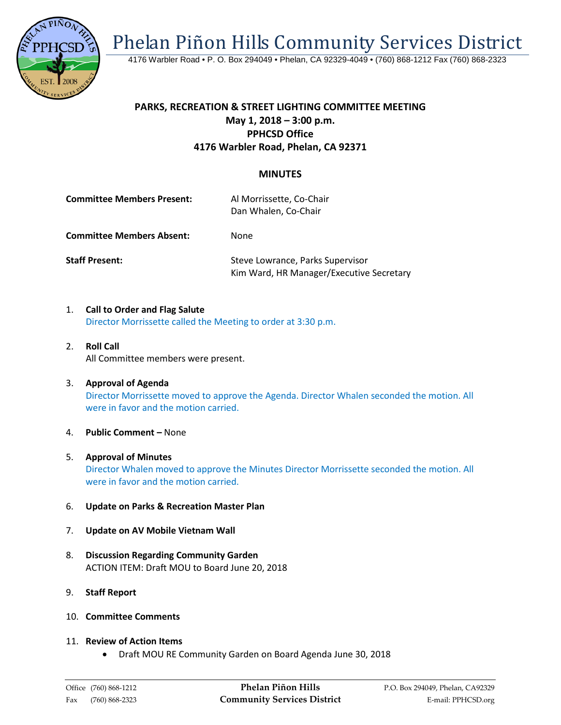Phelan Piñon Hills Community Services District



4176 Warbler Road • P. O. Box 294049 • Phelan, CA 92329-4049 • (760) 868-1212 Fax (760) 868-2323

## **PARKS, RECREATION & STREET LIGHTING COMMITTEE MEETING May 1, 2018 – 3:00 p.m. PPHCSD Office 4176 Warbler Road, Phelan, CA 92371**

## **MINUTES**

| <b>Committee Members Present:</b> | Al Morrissette, Co-Chair<br>Dan Whalen, Co-Chair |
|-----------------------------------|--------------------------------------------------|
| <b>Committee Members Absent:</b>  | None                                             |

**Staff Present:** Steve Lowrance, Parks Supervisor Kim Ward, HR Manager/Executive Secretary

- 1. **Call to Order and Flag Salute** Director Morrissette called the Meeting to order at 3:30 p.m.
- 2. **Roll Call** All Committee members were present.
- 3. **Approval of Agenda** Director Morrissette moved to approve the Agenda. Director Whalen seconded the motion. All were in favor and the motion carried.
- 4. **Public Comment –** None
- 5. **Approval of Minutes** Director Whalen moved to approve the Minutes Director Morrissette seconded the motion. All were in favor and the motion carried.
- 6. **Update on Parks & Recreation Master Plan**
- 7. **Update on AV Mobile Vietnam Wall**
- 8. **Discussion Regarding Community Garden** ACTION ITEM: Draft MOU to Board June 20, 2018
- 9. **Staff Report**
- 10. **Committee Comments**
- 11. **Review of Action Items**
	- Draft MOU RE Community Garden on Board Agenda June 30, 2018